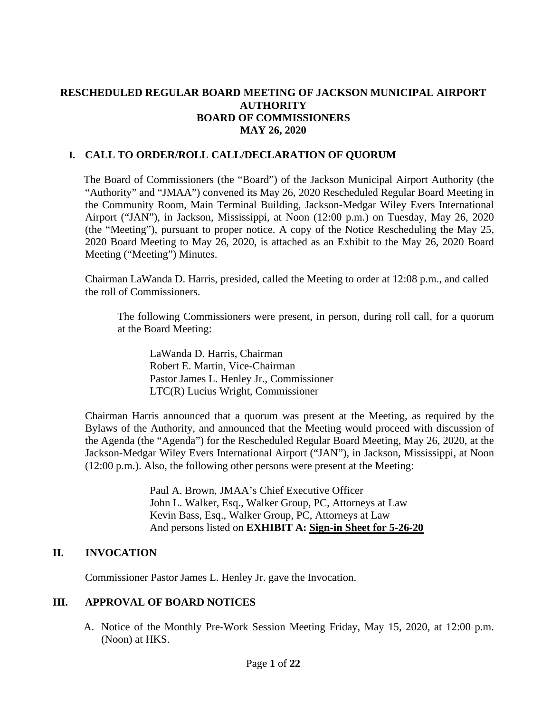## **RESCHEDULED REGULAR BOARD MEETING OF JACKSON MUNICIPAL AIRPORT AUTHORITY BOARD OF COMMISSIONERS MAY 26, 2020**

#### **I. CALL TO ORDER/ROLL CALL/DECLARATION OF QUORUM**

The Board of Commissioners (the "Board") of the Jackson Municipal Airport Authority (the "Authority" and "JMAA") convened its May 26, 2020 Rescheduled Regular Board Meeting in the Community Room, Main Terminal Building, Jackson-Medgar Wiley Evers International Airport ("JAN"), in Jackson, Mississippi, at Noon (12:00 p.m.) on Tuesday, May 26, 2020 (the "Meeting"), pursuant to proper notice. A copy of the Notice Rescheduling the May 25, 2020 Board Meeting to May 26, 2020, is attached as an Exhibit to the May 26, 2020 Board Meeting ("Meeting") Minutes.

Chairman LaWanda D. Harris, presided, called the Meeting to order at 12:08 p.m., and called the roll of Commissioners.

The following Commissioners were present, in person, during roll call, for a quorum at the Board Meeting:

LaWanda D. Harris, Chairman Robert E. Martin, Vice-Chairman Pastor James L. Henley Jr., Commissioner LTC(R) Lucius Wright, Commissioner

Chairman Harris announced that a quorum was present at the Meeting, as required by the Bylaws of the Authority, and announced that the Meeting would proceed with discussion of the Agenda (the "Agenda") for the Rescheduled Regular Board Meeting, May 26, 2020, at the Jackson-Medgar Wiley Evers International Airport ("JAN"), in Jackson, Mississippi, at Noon (12:00 p.m.). Also, the following other persons were present at the Meeting:

> Paul A. Brown, JMAA's Chief Executive Officer John L. Walker, Esq., Walker Group, PC, Attorneys at Law Kevin Bass, Esq., Walker Group, PC, Attorneys at Law And persons listed on **EXHIBIT A: Sign-in Sheet for 5-26-20**

#### **II. INVOCATION**

Commissioner Pastor James L. Henley Jr. gave the Invocation.

#### **III. APPROVAL OF BOARD NOTICES**

A. Notice of the Monthly Pre-Work Session Meeting Friday, May 15, 2020, at 12:00 p.m. (Noon) at HKS.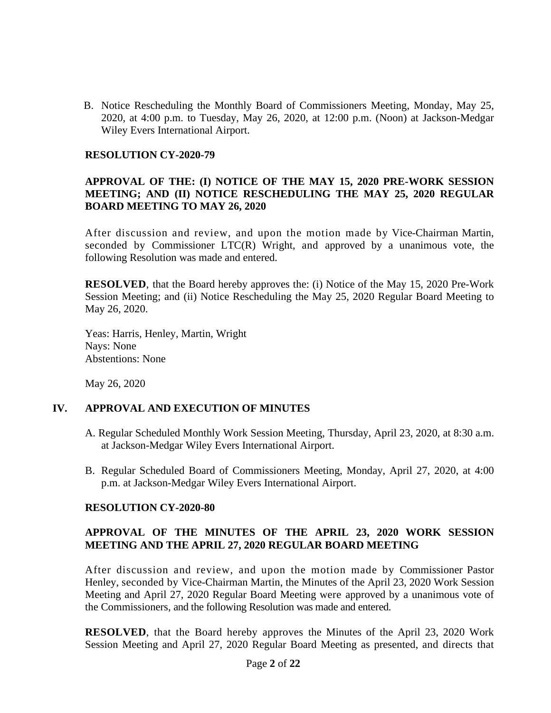B. Notice Rescheduling the Monthly Board of Commissioners Meeting, Monday, May 25, 2020, at 4:00 p.m. to Tuesday, May 26, 2020, at 12:00 p.m. (Noon) at Jackson-Medgar Wiley Evers International Airport.

#### **RESOLUTION CY-2020-79**

## **APPROVAL OF THE: (I) NOTICE OF THE MAY 15, 2020 PRE-WORK SESSION MEETING; AND (II) NOTICE RESCHEDULING THE MAY 25, 2020 REGULAR BOARD MEETING TO MAY 26, 2020**

After discussion and review, and upon the motion made by Vice-Chairman Martin, seconded by Commissioner LTC(R) Wright, and approved by a unanimous vote, the following Resolution was made and entered.

**RESOLVED**, that the Board hereby approves the: (i) Notice of the May 15, 2020 Pre-Work Session Meeting; and (ii) Notice Rescheduling the May 25, 2020 Regular Board Meeting to May 26, 2020.

Yeas: Harris, Henley, Martin, Wright Nays: None Abstentions: None

May 26, 2020

#### **IV. APPROVAL AND EXECUTION OF MINUTES**

- A. Regular Scheduled Monthly Work Session Meeting, Thursday, April 23, 2020, at 8:30 a.m. at Jackson-Medgar Wiley Evers International Airport.
- B. Regular Scheduled Board of Commissioners Meeting, Monday, April 27, 2020, at 4:00 p.m. at Jackson-Medgar Wiley Evers International Airport.

#### **RESOLUTION CY-2020-80**

## **APPROVAL OF THE MINUTES OF THE APRIL 23, 2020 WORK SESSION MEETING AND THE APRIL 27, 2020 REGULAR BOARD MEETING**

After discussion and review, and upon the motion made by Commissioner Pastor Henley, seconded by Vice-Chairman Martin, the Minutes of the April 23, 2020 Work Session Meeting and April 27, 2020 Regular Board Meeting were approved by a unanimous vote of the Commissioners, and the following Resolution was made and entered.

**RESOLVED**, that the Board hereby approves the Minutes of the April 23, 2020 Work Session Meeting and April 27, 2020 Regular Board Meeting as presented, and directs that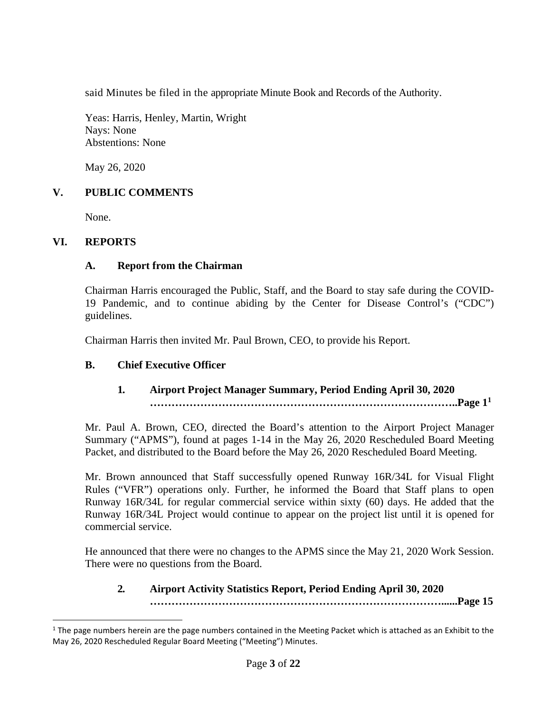said Minutes be filed in the appropriate Minute Book and Records of the Authority.

Yeas: Harris, Henley, Martin, Wright Nays: None Abstentions: None

May 26, 2020

## **V. PUBLIC COMMENTS**

None.

#### **VI. REPORTS**

#### **A. Report from the Chairman**

Chairman Harris encouraged the Public, Staff, and the Board to stay safe during the COVID-19 Pandemic, and to continue abiding by the Center for Disease Control's ("CDC") guidelines.

Chairman Harris then invited Mr. Paul Brown, CEO, to provide his Report.

#### **B. Chief Executive Officer**

## **1***.* **Airport Project Manager Summary, Period Ending April 30, 2020 …………………………………………………………………………..Page [1](#page-2-0)<sup>1</sup>**

Mr. Paul A. Brown, CEO, directed the Board's attention to the Airport Project Manager Summary ("APMS"), found at pages 1-14 in the May 26, 2020 Rescheduled Board Meeting Packet, and distributed to the Board before the May 26, 2020 Rescheduled Board Meeting.

Mr. Brown announced that Staff successfully opened Runway 16R/34L for Visual Flight Rules ("VFR") operations only. Further, he informed the Board that Staff plans to open Runway 16R/34L for regular commercial service within sixty (60) days. He added that the Runway 16R/34L Project would continue to appear on the project list until it is opened for commercial service.

He announced that there were no changes to the APMS since the May 21, 2020 Work Session. There were no questions from the Board.

## **2***.* **Airport Activity Statistics Report, Period Ending April 30, 2020 ………………………………………………………………………......Page 15**

<span id="page-2-0"></span> $1$  The page numbers herein are the page numbers contained in the Meeting Packet which is attached as an Exhibit to the May 26, 2020 Rescheduled Regular Board Meeting ("Meeting") Minutes.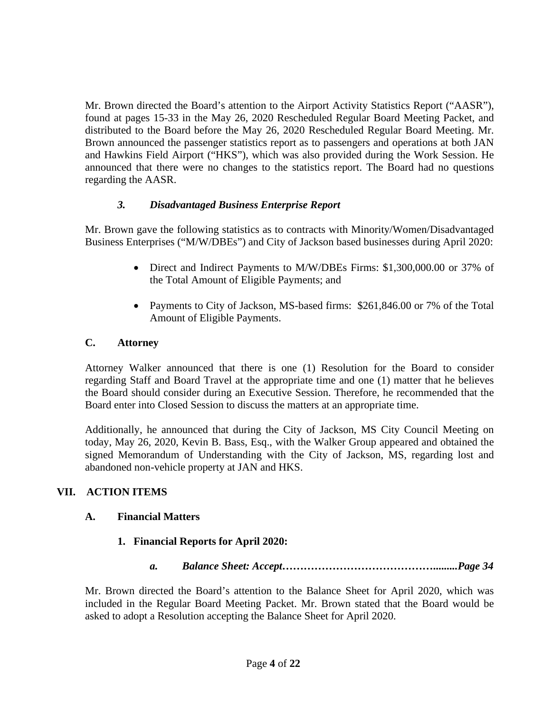Mr. Brown directed the Board's attention to the Airport Activity Statistics Report ("AASR"), found at pages 15-33 in the May 26, 2020 Rescheduled Regular Board Meeting Packet, and distributed to the Board before the May 26, 2020 Rescheduled Regular Board Meeting. Mr. Brown announced the passenger statistics report as to passengers and operations at both JAN and Hawkins Field Airport ("HKS"), which was also provided during the Work Session. He announced that there were no changes to the statistics report. The Board had no questions regarding the AASR.

## *3. Disadvantaged Business Enterprise Report*

Mr. Brown gave the following statistics as to contracts with Minority/Women/Disadvantaged Business Enterprises ("M/W/DBEs") and City of Jackson based businesses during April 2020:

- Direct and Indirect Payments to M/W/DBEs Firms: \$1,300,000.00 or 37% of the Total Amount of Eligible Payments; and
- Payments to City of Jackson, MS-based firms: \$261,846.00 or 7% of the Total Amount of Eligible Payments.

## **C. Attorney**

Attorney Walker announced that there is one (1) Resolution for the Board to consider regarding Staff and Board Travel at the appropriate time and one (1) matter that he believes the Board should consider during an Executive Session. Therefore, he recommended that the Board enter into Closed Session to discuss the matters at an appropriate time.

Additionally, he announced that during the City of Jackson, MS City Council Meeting on today, May 26, 2020, Kevin B. Bass, Esq., with the Walker Group appeared and obtained the signed Memorandum of Understanding with the City of Jackson, MS, regarding lost and abandoned non-vehicle property at JAN and HKS.

# **VII. ACTION ITEMS**

# **A. Financial Matters**

# **1. Financial Reports for April 2020:**

*a. Balance Sheet: Accept…………………………………….........Page 34*

Mr. Brown directed the Board's attention to the Balance Sheet for April 2020, which was included in the Regular Board Meeting Packet. Mr. Brown stated that the Board would be asked to adopt a Resolution accepting the Balance Sheet for April 2020.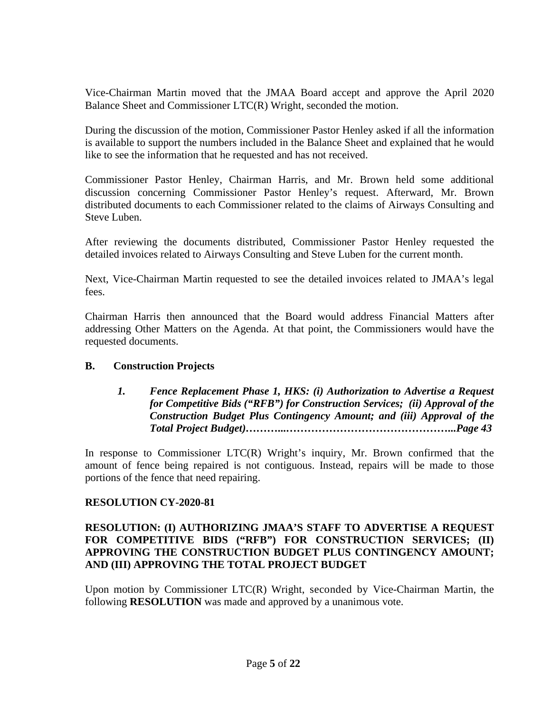Vice-Chairman Martin moved that the JMAA Board accept and approve the April 2020 Balance Sheet and Commissioner LTC(R) Wright, seconded the motion.

During the discussion of the motion, Commissioner Pastor Henley asked if all the information is available to support the numbers included in the Balance Sheet and explained that he would like to see the information that he requested and has not received.

Commissioner Pastor Henley, Chairman Harris, and Mr. Brown held some additional discussion concerning Commissioner Pastor Henley's request. Afterward, Mr. Brown distributed documents to each Commissioner related to the claims of Airways Consulting and Steve Luben.

After reviewing the documents distributed, Commissioner Pastor Henley requested the detailed invoices related to Airways Consulting and Steve Luben for the current month.

Next, Vice-Chairman Martin requested to see the detailed invoices related to JMAA's legal fees.

Chairman Harris then announced that the Board would address Financial Matters after addressing Other Matters on the Agenda. At that point, the Commissioners would have the requested documents.

#### **B. Construction Projects**

*1. Fence Replacement Phase 1, HKS: (i) Authorization to Advertise a Request for Competitive Bids ("RFB") for Construction Services; (ii) Approval of the Construction Budget Plus Contingency Amount; and (iii) Approval of the Total Project Budget)………...………………………………………...Page 43*

In response to Commissioner LTC(R) Wright's inquiry, Mr. Brown confirmed that the amount of fence being repaired is not contiguous. Instead, repairs will be made to those portions of the fence that need repairing.

# **RESOLUTION CY-2020-81**

## **RESOLUTION: (I) AUTHORIZING JMAA'S STAFF TO ADVERTISE A REQUEST FOR COMPETITIVE BIDS ("RFB") FOR CONSTRUCTION SERVICES; (II) APPROVING THE CONSTRUCTION BUDGET PLUS CONTINGENCY AMOUNT; AND (III) APPROVING THE TOTAL PROJECT BUDGET**

Upon motion by Commissioner LTC(R) Wright, seconded by Vice-Chairman Martin, the following **RESOLUTION** was made and approved by a unanimous vote.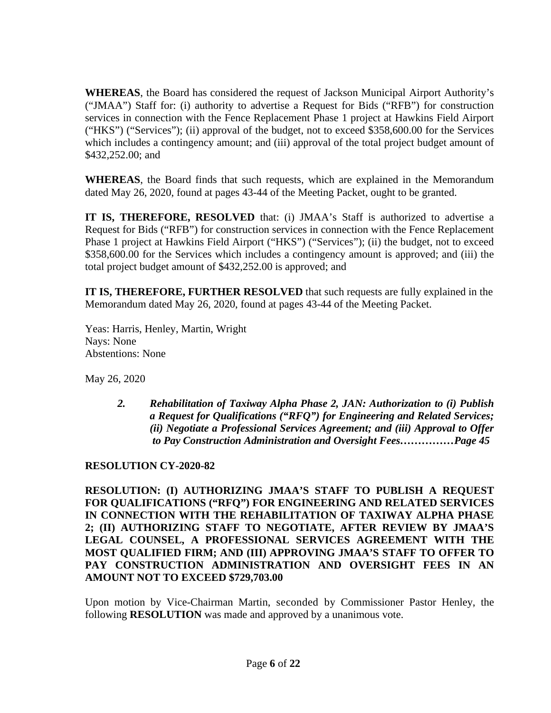**WHEREAS**, the Board has considered the request of Jackson Municipal Airport Authority's ("JMAA") Staff for: (i) authority to advertise a Request for Bids ("RFB") for construction services in connection with the Fence Replacement Phase 1 project at Hawkins Field Airport ("HKS") ("Services"); (ii) approval of the budget, not to exceed \$358,600.00 for the Services which includes a contingency amount; and (iii) approval of the total project budget amount of \$432,252.00; and

**WHEREAS**, the Board finds that such requests, which are explained in the Memorandum dated May 26, 2020, found at pages 43-44 of the Meeting Packet, ought to be granted.

**IT IS, THEREFORE, RESOLVED** that: (i) JMAA's Staff is authorized to advertise a Request for Bids ("RFB") for construction services in connection with the Fence Replacement Phase 1 project at Hawkins Field Airport ("HKS") ("Services"); (ii) the budget, not to exceed \$358,600.00 for the Services which includes a contingency amount is approved; and (iii) the total project budget amount of \$432,252.00 is approved; and

**IT IS, THEREFORE, FURTHER RESOLVED** that such requests are fully explained in the Memorandum dated May 26, 2020, found at pages 43-44 of the Meeting Packet.

Yeas: Harris, Henley, Martin, Wright Nays: None Abstentions: None

May 26, 2020

*2. Rehabilitation of Taxiway Alpha Phase 2, JAN: Authorization to (i) Publish a Request for Qualifications ("RFQ") for Engineering and Related Services; (ii) Negotiate a Professional Services Agreement; and (iii) Approval to Offer to Pay Construction Administration and Oversight Fees……………Page 45*

# **RESOLUTION CY-2020-82**

**RESOLUTION: (I) AUTHORIZING JMAA'S STAFF TO PUBLISH A REQUEST FOR QUALIFICATIONS ("RFQ") FOR ENGINEERING AND RELATED SERVICES IN CONNECTION WITH THE REHABILITATION OF TAXIWAY ALPHA PHASE 2; (II) AUTHORIZING STAFF TO NEGOTIATE, AFTER REVIEW BY JMAA'S LEGAL COUNSEL, A PROFESSIONAL SERVICES AGREEMENT WITH THE MOST QUALIFIED FIRM; AND (III) APPROVING JMAA'S STAFF TO OFFER TO PAY CONSTRUCTION ADMINISTRATION AND OVERSIGHT FEES IN AN AMOUNT NOT TO EXCEED \$729,703.00**

Upon motion by Vice-Chairman Martin, seconded by Commissioner Pastor Henley, the following **RESOLUTION** was made and approved by a unanimous vote.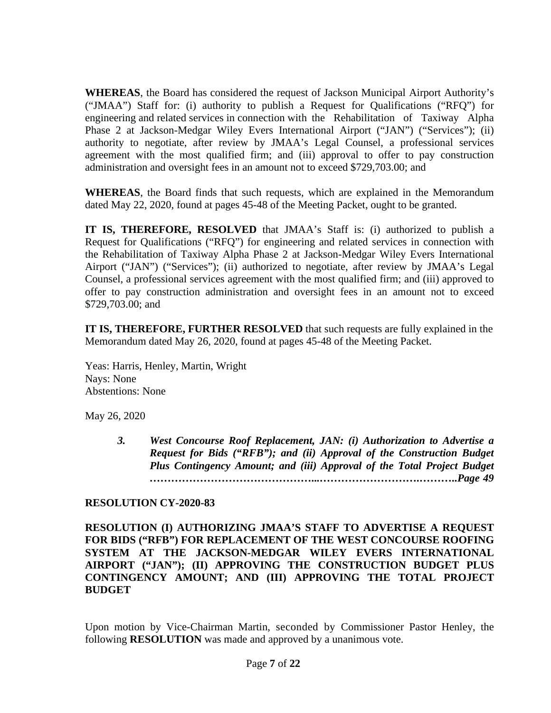**WHEREAS**, the Board has considered the request of Jackson Municipal Airport Authority's ("JMAA") Staff for: (i) authority to publish a Request for Qualifications ("RFQ") for engineering and related services in connection with the Rehabilitation of Taxiway Alpha Phase 2 at Jackson-Medgar Wiley Evers International Airport ("JAN") ("Services"); (ii) authority to negotiate, after review by JMAA's Legal Counsel, a professional services agreement with the most qualified firm; and (iii) approval to offer to pay construction administration and oversight fees in an amount not to exceed \$729,703.00; and

**WHEREAS**, the Board finds that such requests, which are explained in the Memorandum dated May 22, 2020, found at pages 45-48 of the Meeting Packet, ought to be granted.

**IT IS, THEREFORE, RESOLVED** that JMAA's Staff is: (i) authorized to publish a Request for Qualifications ("RFQ") for engineering and related services in connection with the Rehabilitation of Taxiway Alpha Phase 2 at Jackson-Medgar Wiley Evers International Airport ("JAN") ("Services"); (ii) authorized to negotiate, after review by JMAA's Legal Counsel, a professional services agreement with the most qualified firm; and (iii) approved to offer to pay construction administration and oversight fees in an amount not to exceed \$729,703.00; and

**IT IS, THEREFORE, FURTHER RESOLVED** that such requests are fully explained in the Memorandum dated May 26, 2020, found at pages 45-48 of the Meeting Packet.

Yeas: Harris, Henley, Martin, Wright Nays: None Abstentions: None

May 26, 2020

*3. West Concourse Roof Replacement, JAN: (i) Authorization to Advertise a Request for Bids ("RFB"); and (ii) Approval of the Construction Budget Plus Contingency Amount; and (iii) Approval of the Total Project Budget ………………………………………...……………………….………..Page 49*

#### **RESOLUTION CY-2020-83**

**RESOLUTION (I) AUTHORIZING JMAA'S STAFF TO ADVERTISE A REQUEST FOR BIDS ("RFB") FOR REPLACEMENT OF THE WEST CONCOURSE ROOFING SYSTEM AT THE JACKSON-MEDGAR WILEY EVERS INTERNATIONAL AIRPORT ("JAN"); (II) APPROVING THE CONSTRUCTION BUDGET PLUS CONTINGENCY AMOUNT; AND (III) APPROVING THE TOTAL PROJECT BUDGET**

Upon motion by Vice-Chairman Martin, seconded by Commissioner Pastor Henley, the following **RESOLUTION** was made and approved by a unanimous vote.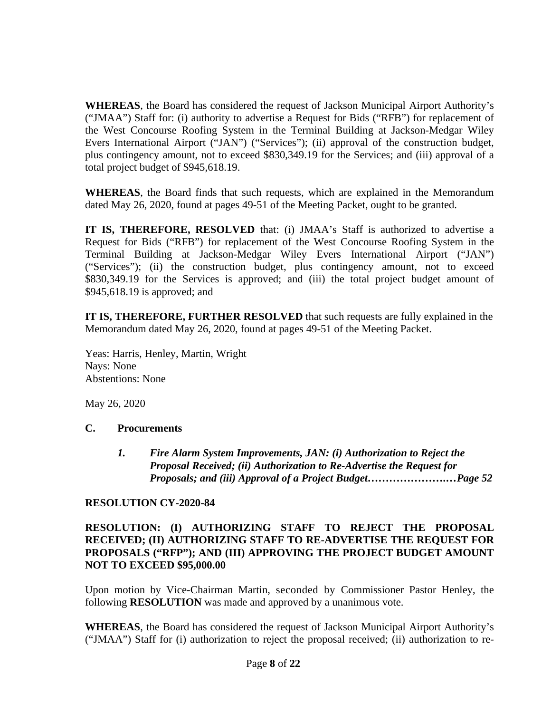**WHEREAS**, the Board has considered the request of Jackson Municipal Airport Authority's ("JMAA") Staff for: (i) authority to advertise a Request for Bids ("RFB") for replacement of the West Concourse Roofing System in the Terminal Building at Jackson-Medgar Wiley Evers International Airport ("JAN") ("Services"); (ii) approval of the construction budget, plus contingency amount, not to exceed \$830,349.19 for the Services; and (iii) approval of a total project budget of \$945,618.19.

**WHEREAS**, the Board finds that such requests, which are explained in the Memorandum dated May 26, 2020, found at pages 49-51 of the Meeting Packet, ought to be granted.

**IT IS, THEREFORE, RESOLVED** that: (i) JMAA's Staff is authorized to advertise a Request for Bids ("RFB") for replacement of the West Concourse Roofing System in the Terminal Building at Jackson-Medgar Wiley Evers International Airport ("JAN") ("Services"); (ii) the construction budget, plus contingency amount, not to exceed \$830,349.19 for the Services is approved; and (iii) the total project budget amount of \$945,618.19 is approved; and

**IT IS, THEREFORE, FURTHER RESOLVED** that such requests are fully explained in the Memorandum dated May 26, 2020, found at pages 49-51 of the Meeting Packet.

Yeas: Harris, Henley, Martin, Wright Nays: None Abstentions: None

May 26, 2020

#### **C. Procurements**

*1. Fire Alarm System Improvements, JAN: (i) Authorization to Reject the Proposal Received; (ii) Authorization to Re-Advertise the Request for Proposals; and (iii) Approval of a Project Budget………………….…Page 52*

#### **RESOLUTION CY-2020-84**

#### **RESOLUTION: (I) AUTHORIZING STAFF TO REJECT THE PROPOSAL RECEIVED; (II) AUTHORIZING STAFF TO RE-ADVERTISE THE REQUEST FOR PROPOSALS ("RFP"); AND (III) APPROVING THE PROJECT BUDGET AMOUNT NOT TO EXCEED \$95,000.00**

Upon motion by Vice-Chairman Martin, seconded by Commissioner Pastor Henley, the following **RESOLUTION** was made and approved by a unanimous vote.

**WHEREAS**, the Board has considered the request of Jackson Municipal Airport Authority's ("JMAA") Staff for (i) authorization to reject the proposal received; (ii) authorization to re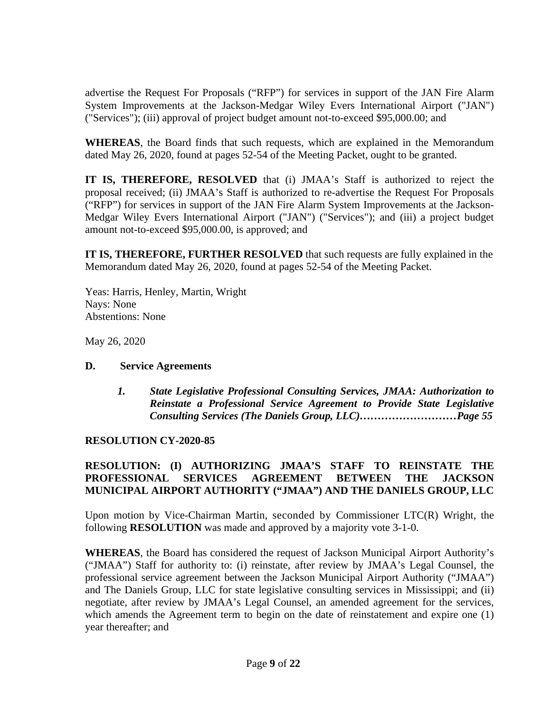advertise the Request For Proposals ("RFP") for services in support of the JAN Fire Alarm System Improvements at the Jackson-Medgar Wiley Evers International Airport ("JAN") ("Services"); (iii) approval of project budget amount not-to-exceed \$95,000.00; and

**WHEREAS**, the Board finds that such requests, which are explained in the Memorandum dated May 26, 2020, found at pages 52-54 of the Meeting Packet, ought to be granted.

**IT IS, THEREFORE, RESOLVED** that (i) JMAA's Staff is authorized to reject the proposal received; (ii) JMAA's Staff is authorized to re-advertise the Request For Proposals ("RFP") for services in support of the JAN Fire Alarm System Improvements at the Jackson-Medgar Wiley Evers International Airport ("JAN") ("Services"); and (iii) a project budget amount not-to-exceed \$95,000.00, is approved; and

**IT IS, THEREFORE, FURTHER RESOLVED** that such requests are fully explained in the Memorandum dated May 26, 2020, found at pages 52-54 of the Meeting Packet.

Yeas: Harris, Henley, Martin, Wright Nays: None Abstentions: None

May 26, 2020

#### **D. Service Agreements**

*1. State Legislative Professional Consulting Services, JMAA: Authorization to Reinstate a Professional Service Agreement to Provide State Legislative Consulting Services (The Daniels Group, LLC)………………………Page 55*

# **RESOLUTION CY-2020-85**

## **RESOLUTION: (I) AUTHORIZING JMAA'S STAFF TO REINSTATE THE PROFESSIONAL SERVICES AGREEMENT BETWEEN THE JACKSON MUNICIPAL AIRPORT AUTHORITY ("JMAA") AND THE DANIELS GROUP, LLC**

Upon motion by Vice-Chairman Martin, seconded by Commissioner LTC(R) Wright, the following **RESOLUTION** was made and approved by a majority vote 3-1-0.

**WHEREAS**, the Board has considered the request of Jackson Municipal Airport Authority's ("JMAA") Staff for authority to: (i) reinstate, after review by JMAA's Legal Counsel, the professional service agreement between the Jackson Municipal Airport Authority ("JMAA") and The Daniels Group, LLC for state legislative consulting services in Mississippi; and (ii) negotiate, after review by JMAA's Legal Counsel, an amended agreement for the services, which amends the Agreement term to begin on the date of reinstatement and expire one (1) year thereafter; and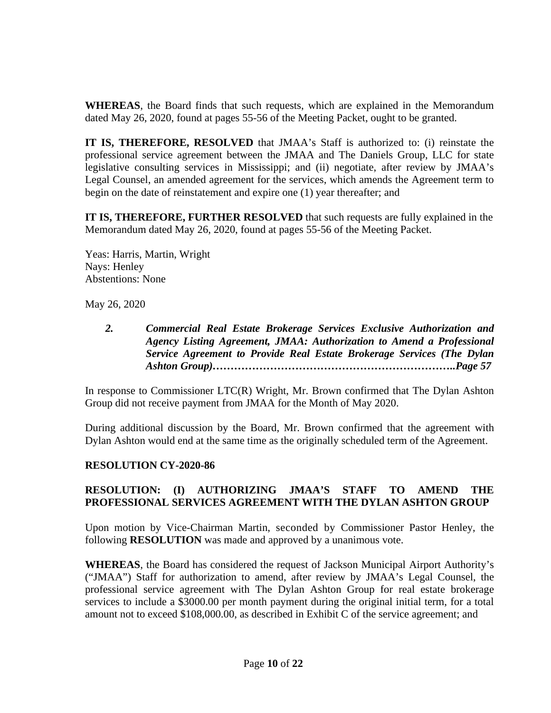**WHEREAS**, the Board finds that such requests, which are explained in the Memorandum dated May 26, 2020, found at pages 55-56 of the Meeting Packet, ought to be granted.

**IT IS, THEREFORE, RESOLVED** that JMAA's Staff is authorized to: (i) reinstate the professional service agreement between the JMAA and The Daniels Group, LLC for state legislative consulting services in Mississippi; and (ii) negotiate, after review by JMAA's Legal Counsel, an amended agreement for the services, which amends the Agreement term to begin on the date of reinstatement and expire one (1) year thereafter; and

**IT IS, THEREFORE, FURTHER RESOLVED** that such requests are fully explained in the Memorandum dated May 26, 2020, found at pages 55-56 of the Meeting Packet.

Yeas: Harris, Martin, Wright Nays: Henley Abstentions: None

May 26, 2020

*2. Commercial Real Estate Brokerage Services Exclusive Authorization and Agency Listing Agreement, JMAA: Authorization to Amend a Professional Service Agreement to Provide Real Estate Brokerage Services (The Dylan Ashton Group)…………………………………………………………..Page 57*

In response to Commissioner LTC(R) Wright, Mr. Brown confirmed that The Dylan Ashton Group did not receive payment from JMAA for the Month of May 2020.

During additional discussion by the Board, Mr. Brown confirmed that the agreement with Dylan Ashton would end at the same time as the originally scheduled term of the Agreement.

# **RESOLUTION CY-2020-86**

# **RESOLUTION: (I) AUTHORIZING JMAA'S STAFF TO AMEND THE PROFESSIONAL SERVICES AGREEMENT WITH THE DYLAN ASHTON GROUP**

Upon motion by Vice-Chairman Martin, seconded by Commissioner Pastor Henley, the following **RESOLUTION** was made and approved by a unanimous vote.

**WHEREAS**, the Board has considered the request of Jackson Municipal Airport Authority's ("JMAA") Staff for authorization to amend, after review by JMAA's Legal Counsel, the professional service agreement with The Dylan Ashton Group for real estate brokerage services to include a \$3000.00 per month payment during the original initial term, for a total amount not to exceed \$108,000.00, as described in Exhibit C of the service agreement; and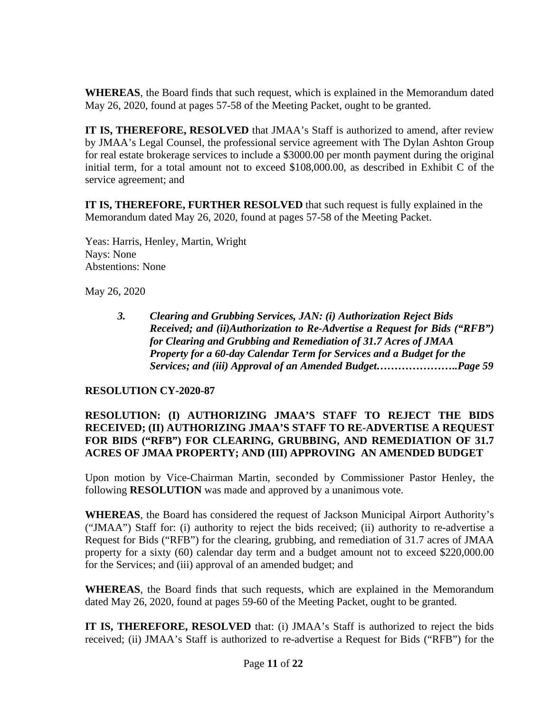**WHEREAS**, the Board finds that such request, which is explained in the Memorandum dated May 26, 2020, found at pages 57-58 of the Meeting Packet, ought to be granted.

**IT IS, THEREFORE, RESOLVED** that JMAA's Staff is authorized to amend, after review by JMAA's Legal Counsel, the professional service agreement with The Dylan Ashton Group for real estate brokerage services to include a \$3000.00 per month payment during the original initial term, for a total amount not to exceed \$108,000.00, as described in Exhibit C of the service agreement; and

**IT IS, THEREFORE, FURTHER RESOLVED** that such request is fully explained in the Memorandum dated May 26, 2020, found at pages 57-58 of the Meeting Packet.

Yeas: Harris, Henley, Martin, Wright Nays: None Abstentions: None

May 26, 2020

*3. Clearing and Grubbing Services, JAN: (i) Authorization Reject Bids Received; and (ii)Authorization to Re-Advertise a Request for Bids ("RFB") for Clearing and Grubbing and Remediation of 31.7 Acres of JMAA Property for a 60-day Calendar Term for Services and a Budget for the Services; and (iii) Approval of an Amended Budget…………………..Page 59*

#### **RESOLUTION CY-2020-87**

#### **RESOLUTION: (I) AUTHORIZING JMAA'S STAFF TO REJECT THE BIDS RECEIVED; (II) AUTHORIZING JMAA'S STAFF TO RE-ADVERTISE A REQUEST FOR BIDS ("RFB") FOR CLEARING, GRUBBING, AND REMEDIATION OF 31.7 ACRES OF JMAA PROPERTY; AND (III) APPROVING AN AMENDED BUDGET**

Upon motion by Vice-Chairman Martin, seconded by Commissioner Pastor Henley, the following **RESOLUTION** was made and approved by a unanimous vote.

**WHEREAS**, the Board has considered the request of Jackson Municipal Airport Authority's ("JMAA") Staff for: (i) authority to reject the bids received; (ii) authority to re-advertise a Request for Bids ("RFB") for the clearing, grubbing, and remediation of 31.7 acres of JMAA property for a sixty (60) calendar day term and a budget amount not to exceed \$220,000.00 for the Services; and (iii) approval of an amended budget; and

**WHEREAS**, the Board finds that such requests, which are explained in the Memorandum dated May 26, 2020, found at pages 59-60 of the Meeting Packet, ought to be granted.

**IT IS, THEREFORE, RESOLVED** that: (i) JMAA's Staff is authorized to reject the bids received; (ii) JMAA's Staff is authorized to re-advertise a Request for Bids ("RFB") for the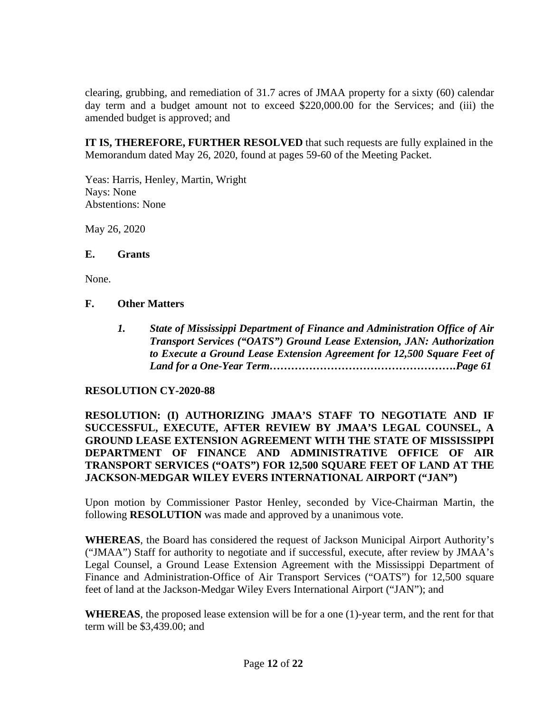clearing, grubbing, and remediation of 31.7 acres of JMAA property for a sixty (60) calendar day term and a budget amount not to exceed \$220,000.00 for the Services; and (iii) the amended budget is approved; and

**IT IS, THEREFORE, FURTHER RESOLVED** that such requests are fully explained in the Memorandum dated May 26, 2020, found at pages 59-60 of the Meeting Packet.

Yeas: Harris, Henley, Martin, Wright Nays: None Abstentions: None

May 26, 2020

#### **E. Grants**

None.

#### **F. Other Matters**

*1. State of Mississippi Department of Finance and Administration Office of Air Transport Services ("OATS") Ground Lease Extension, JAN: Authorization to Execute a Ground Lease Extension Agreement for 12,500 Square Feet of Land for a One-Year Term…………………………………………….Page 61*

#### **RESOLUTION CY-2020-88**

**RESOLUTION: (I) AUTHORIZING JMAA'S STAFF TO NEGOTIATE AND IF SUCCESSFUL, EXECUTE, AFTER REVIEW BY JMAA'S LEGAL COUNSEL, A GROUND LEASE EXTENSION AGREEMENT WITH THE STATE OF MISSISSIPPI DEPARTMENT OF FINANCE AND ADMINISTRATIVE OFFICE OF AIR TRANSPORT SERVICES ("OATS") FOR 12,500 SQUARE FEET OF LAND AT THE JACKSON-MEDGAR WILEY EVERS INTERNATIONAL AIRPORT ("JAN")**

Upon motion by Commissioner Pastor Henley, seconded by Vice-Chairman Martin, the following **RESOLUTION** was made and approved by a unanimous vote.

**WHEREAS**, the Board has considered the request of Jackson Municipal Airport Authority's ("JMAA") Staff for authority to negotiate and if successful, execute, after review by JMAA's Legal Counsel, a Ground Lease Extension Agreement with the Mississippi Department of Finance and Administration-Office of Air Transport Services ("OATS") for 12,500 square feet of land at the Jackson-Medgar Wiley Evers International Airport ("JAN"); and

**WHEREAS**, the proposed lease extension will be for a one (1)-year term, and the rent for that term will be \$3,439.00; and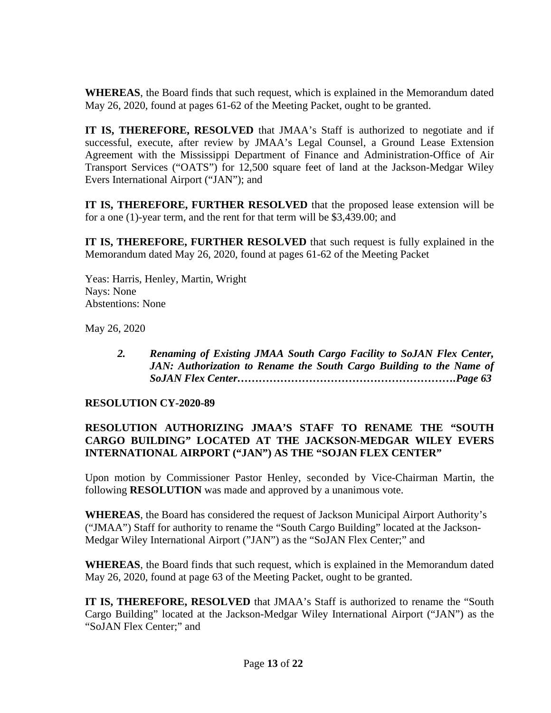**WHEREAS**, the Board finds that such request, which is explained in the Memorandum dated May 26, 2020, found at pages 61-62 of the Meeting Packet, ought to be granted.

**IT IS, THEREFORE, RESOLVED** that JMAA's Staff is authorized to negotiate and if successful, execute, after review by JMAA's Legal Counsel, a Ground Lease Extension Agreement with the Mississippi Department of Finance and Administration-Office of Air Transport Services ("OATS") for 12,500 square feet of land at the Jackson-Medgar Wiley Evers International Airport ("JAN"); and

**IT IS, THEREFORE, FURTHER RESOLVED** that the proposed lease extension will be for a one (1)-year term, and the rent for that term will be \$3,439.00; and

**IT IS, THEREFORE, FURTHER RESOLVED** that such request is fully explained in the Memorandum dated May 26, 2020, found at pages 61-62 of the Meeting Packet

Yeas: Harris, Henley, Martin, Wright Nays: None Abstentions: None

May 26, 2020

*2. Renaming of Existing JMAA South Cargo Facility to SoJAN Flex Center, JAN: Authorization to Rename the South Cargo Building to the Name of SoJAN Flex Center…………………………………………………….Page 63*

#### **RESOLUTION CY-2020-89**

## **RESOLUTION AUTHORIZING JMAA'S STAFF TO RENAME THE "SOUTH CARGO BUILDING" LOCATED AT THE JACKSON-MEDGAR WILEY EVERS INTERNATIONAL AIRPORT ("JAN") AS THE "SOJAN FLEX CENTER"**

Upon motion by Commissioner Pastor Henley, seconded by Vice-Chairman Martin, the following **RESOLUTION** was made and approved by a unanimous vote.

**WHEREAS**, the Board has considered the request of Jackson Municipal Airport Authority's ("JMAA") Staff for authority to rename the "South Cargo Building" located at the Jackson-Medgar Wiley International Airport ("JAN") as the "SoJAN Flex Center;" and

**WHEREAS**, the Board finds that such request, which is explained in the Memorandum dated May 26, 2020, found at page 63 of the Meeting Packet, ought to be granted.

**IT IS, THEREFORE, RESOLVED** that JMAA's Staff is authorized to rename the "South Cargo Building" located at the Jackson-Medgar Wiley International Airport ("JAN") as the "SoJAN Flex Center;" and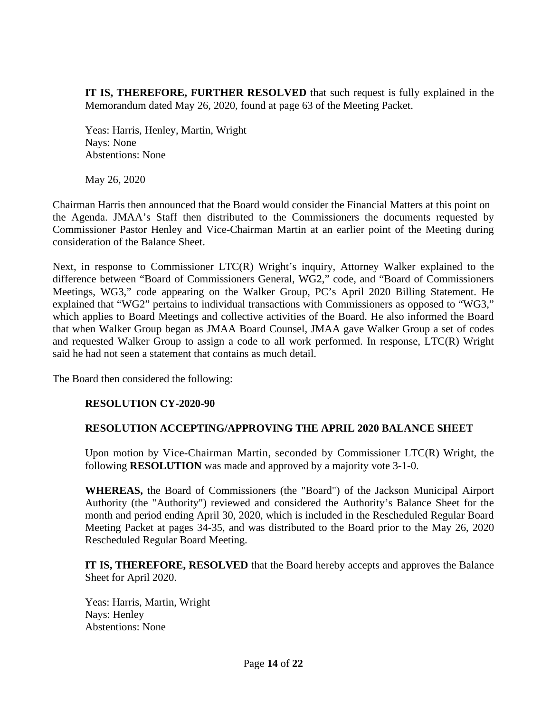**IT IS, THEREFORE, FURTHER RESOLVED** that such request is fully explained in the Memorandum dated May 26, 2020, found at page 63 of the Meeting Packet.

Yeas: Harris, Henley, Martin, Wright Nays: None Abstentions: None

May 26, 2020

Chairman Harris then announced that the Board would consider the Financial Matters at this point on the Agenda. JMAA's Staff then distributed to the Commissioners the documents requested by Commissioner Pastor Henley and Vice-Chairman Martin at an earlier point of the Meeting during consideration of the Balance Sheet.

Next, in response to Commissioner LTC(R) Wright's inquiry, Attorney Walker explained to the difference between "Board of Commissioners General, WG2," code, and "Board of Commissioners Meetings, WG3," code appearing on the Walker Group, PC's April 2020 Billing Statement. He explained that "WG2" pertains to individual transactions with Commissioners as opposed to "WG3," which applies to Board Meetings and collective activities of the Board. He also informed the Board that when Walker Group began as JMAA Board Counsel, JMAA gave Walker Group a set of codes and requested Walker Group to assign a code to all work performed. In response, LTC(R) Wright said he had not seen a statement that contains as much detail.

The Board then considered the following:

#### **RESOLUTION CY-2020-90**

#### **RESOLUTION ACCEPTING/APPROVING THE APRIL 2020 BALANCE SHEET**

Upon motion by Vice-Chairman Martin, seconded by Commissioner LTC(R) Wright, the following **RESOLUTION** was made and approved by a majority vote 3-1-0.

**WHEREAS,** the Board of Commissioners (the "Board") of the Jackson Municipal Airport Authority (the "Authority") reviewed and considered the Authority's Balance Sheet for the month and period ending April 30, 2020, which is included in the Rescheduled Regular Board Meeting Packet at pages 34-35, and was distributed to the Board prior to the May 26, 2020 Rescheduled Regular Board Meeting.

**IT IS, THEREFORE, RESOLVED** that the Board hereby accepts and approves the Balance Sheet for April 2020.

Yeas: Harris, Martin, Wright Nays: Henley Abstentions: None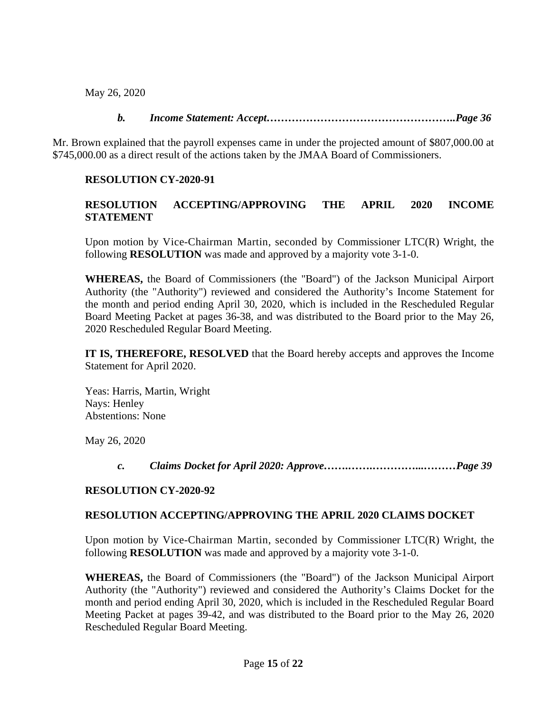May 26, 2020

# *b. Income Statement: Accept……………………………………………..Page 36*

Mr. Brown explained that the payroll expenses came in under the projected amount of \$807,000.00 at \$745,000.00 as a direct result of the actions taken by the JMAA Board of Commissioners.

# **RESOLUTION CY-2020-91**

# **RESOLUTION ACCEPTING/APPROVING THE APRIL 2020 INCOME STATEMENT**

Upon motion by Vice-Chairman Martin, seconded by Commissioner LTC(R) Wright, the following **RESOLUTION** was made and approved by a majority vote 3-1-0.

**WHEREAS,** the Board of Commissioners (the "Board") of the Jackson Municipal Airport Authority (the "Authority") reviewed and considered the Authority's Income Statement for the month and period ending April 30, 2020, which is included in the Rescheduled Regular Board Meeting Packet at pages 36-38, and was distributed to the Board prior to the May 26, 2020 Rescheduled Regular Board Meeting.

**IT IS, THEREFORE, RESOLVED** that the Board hereby accepts and approves the Income Statement for April 2020.

Yeas: Harris, Martin, Wright Nays: Henley Abstentions: None

May 26, 2020

*c. Claims Docket for April 2020: Approve…….…….…………...………Page 39*

# **RESOLUTION CY-2020-92**

# **RESOLUTION ACCEPTING/APPROVING THE APRIL 2020 CLAIMS DOCKET**

Upon motion by Vice-Chairman Martin, seconded by Commissioner LTC(R) Wright, the following **RESOLUTION** was made and approved by a majority vote 3-1-0.

**WHEREAS,** the Board of Commissioners (the "Board") of the Jackson Municipal Airport Authority (the "Authority") reviewed and considered the Authority's Claims Docket for the month and period ending April 30, 2020, which is included in the Rescheduled Regular Board Meeting Packet at pages 39-42, and was distributed to the Board prior to the May 26, 2020 Rescheduled Regular Board Meeting.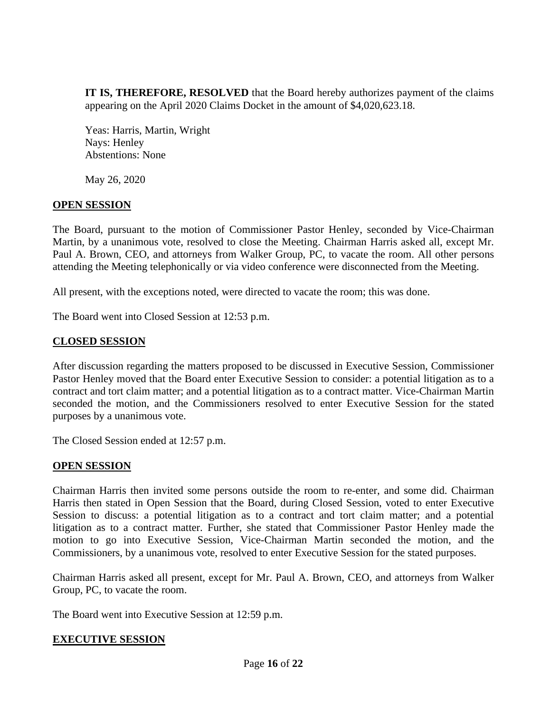**IT IS, THEREFORE, RESOLVED** that the Board hereby authorizes payment of the claims appearing on the April 2020 Claims Docket in the amount of \$4,020,623.18.

Yeas: Harris, Martin, Wright Nays: Henley Abstentions: None

May 26, 2020

## **OPEN SESSION**

The Board, pursuant to the motion of Commissioner Pastor Henley, seconded by Vice-Chairman Martin, by a unanimous vote, resolved to close the Meeting. Chairman Harris asked all, except Mr. Paul A. Brown, CEO, and attorneys from Walker Group, PC, to vacate the room. All other persons attending the Meeting telephonically or via video conference were disconnected from the Meeting.

All present, with the exceptions noted, were directed to vacate the room; this was done.

The Board went into Closed Session at 12:53 p.m.

## **CLOSED SESSION**

After discussion regarding the matters proposed to be discussed in Executive Session, Commissioner Pastor Henley moved that the Board enter Executive Session to consider: a potential litigation as to a contract and tort claim matter; and a potential litigation as to a contract matter. Vice-Chairman Martin seconded the motion, and the Commissioners resolved to enter Executive Session for the stated purposes by a unanimous vote.

The Closed Session ended at 12:57 p.m.

#### **OPEN SESSION**

Chairman Harris then invited some persons outside the room to re-enter, and some did. Chairman Harris then stated in Open Session that the Board, during Closed Session, voted to enter Executive Session to discuss: a potential litigation as to a contract and tort claim matter; and a potential litigation as to a contract matter. Further, she stated that Commissioner Pastor Henley made the motion to go into Executive Session, Vice-Chairman Martin seconded the motion, and the Commissioners, by a unanimous vote, resolved to enter Executive Session for the stated purposes.

Chairman Harris asked all present, except for Mr. Paul A. Brown, CEO, and attorneys from Walker Group, PC, to vacate the room.

The Board went into Executive Session at 12:59 p.m.

#### **EXECUTIVE SESSION**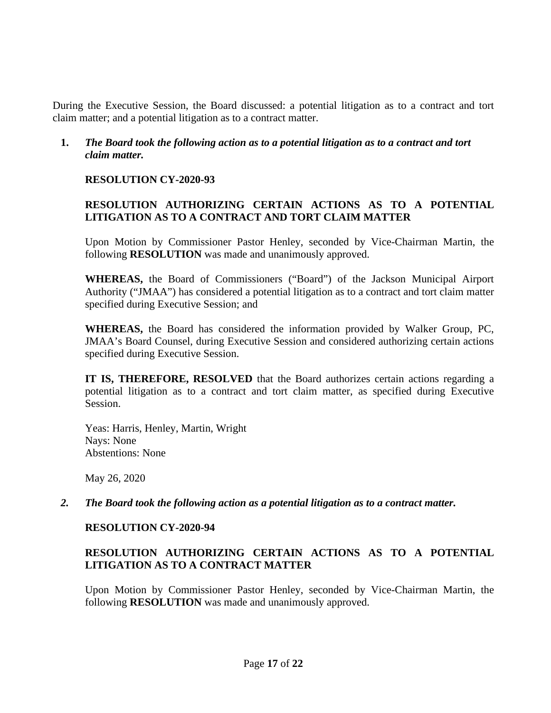During the Executive Session, the Board discussed: a potential litigation as to a contract and tort claim matter; and a potential litigation as to a contract matter.

### **1.** *The Board took the following action as to a potential litigation as to a contract and tort claim matter.*

## **RESOLUTION CY-2020-93**

# **RESOLUTION AUTHORIZING CERTAIN ACTIONS AS TO A POTENTIAL LITIGATION AS TO A CONTRACT AND TORT CLAIM MATTER**

Upon Motion by Commissioner Pastor Henley, seconded by Vice-Chairman Martin, the following **RESOLUTION** was made and unanimously approved.

**WHEREAS,** the Board of Commissioners ("Board") of the Jackson Municipal Airport Authority ("JMAA") has considered a potential litigation as to a contract and tort claim matter specified during Executive Session; and

**WHEREAS,** the Board has considered the information provided by Walker Group, PC, JMAA's Board Counsel, during Executive Session and considered authorizing certain actions specified during Executive Session.

**IT IS, THEREFORE, RESOLVED** that the Board authorizes certain actions regarding a potential litigation as to a contract and tort claim matter, as specified during Executive Session.

Yeas: Harris, Henley, Martin, Wright Nays: None Abstentions: None

May 26, 2020

*2. The Board took the following action as a potential litigation as to a contract matter.*

# **RESOLUTION CY-2020-94**

## **RESOLUTION AUTHORIZING CERTAIN ACTIONS AS TO A POTENTIAL LITIGATION AS TO A CONTRACT MATTER**

Upon Motion by Commissioner Pastor Henley, seconded by Vice-Chairman Martin, the following **RESOLUTION** was made and unanimously approved.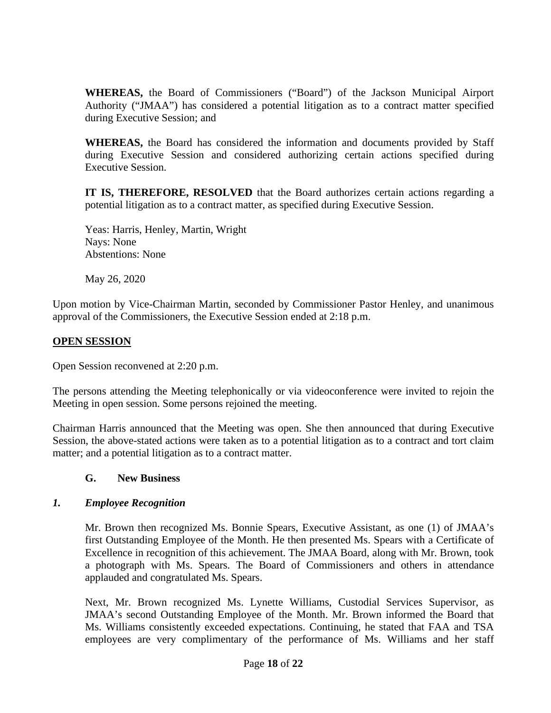**WHEREAS,** the Board of Commissioners ("Board") of the Jackson Municipal Airport Authority ("JMAA") has considered a potential litigation as to a contract matter specified during Executive Session; and

**WHEREAS,** the Board has considered the information and documents provided by Staff during Executive Session and considered authorizing certain actions specified during Executive Session.

**IT IS, THEREFORE, RESOLVED** that the Board authorizes certain actions regarding a potential litigation as to a contract matter, as specified during Executive Session.

Yeas: Harris, Henley, Martin, Wright Nays: None Abstentions: None

May 26, 2020

Upon motion by Vice-Chairman Martin, seconded by Commissioner Pastor Henley, and unanimous approval of the Commissioners, the Executive Session ended at 2:18 p.m.

## **OPEN SESSION**

Open Session reconvened at 2:20 p.m.

The persons attending the Meeting telephonically or via videoconference were invited to rejoin the Meeting in open session. Some persons rejoined the meeting.

Chairman Harris announced that the Meeting was open. She then announced that during Executive Session, the above-stated actions were taken as to a potential litigation as to a contract and tort claim matter; and a potential litigation as to a contract matter.

#### **G. New Business**

#### *1. Employee Recognition*

Mr. Brown then recognized Ms. Bonnie Spears, Executive Assistant, as one (1) of JMAA's first Outstanding Employee of the Month. He then presented Ms. Spears with a Certificate of Excellence in recognition of this achievement. The JMAA Board, along with Mr. Brown, took a photograph with Ms. Spears. The Board of Commissioners and others in attendance applauded and congratulated Ms. Spears.

Next, Mr. Brown recognized Ms. Lynette Williams, Custodial Services Supervisor, as JMAA's second Outstanding Employee of the Month. Mr. Brown informed the Board that Ms. Williams consistently exceeded expectations. Continuing, he stated that FAA and TSA employees are very complimentary of the performance of Ms. Williams and her staff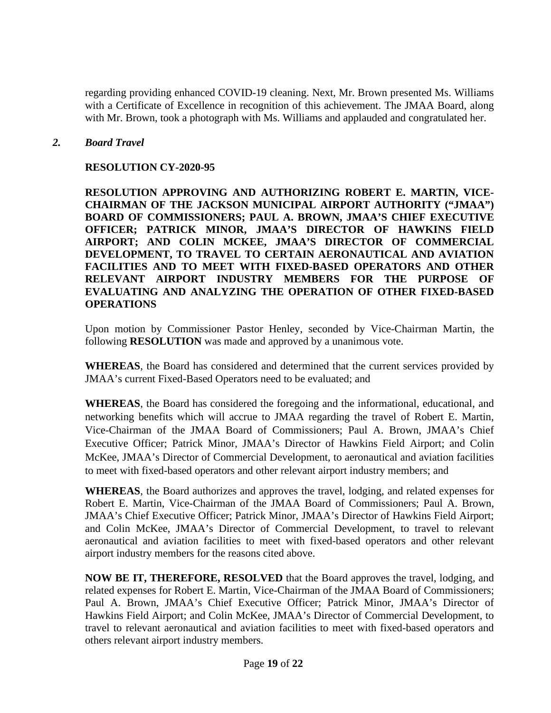regarding providing enhanced COVID-19 cleaning. Next, Mr. Brown presented Ms. Williams with a Certificate of Excellence in recognition of this achievement. The JMAA Board, along with Mr. Brown, took a photograph with Ms. Williams and applauded and congratulated her.

#### *2. Board Travel*

#### **RESOLUTION CY-2020-95**

**RESOLUTION APPROVING AND AUTHORIZING ROBERT E. MARTIN, VICE-CHAIRMAN OF THE JACKSON MUNICIPAL AIRPORT AUTHORITY ("JMAA") BOARD OF COMMISSIONERS; PAUL A. BROWN, JMAA'S CHIEF EXECUTIVE OFFICER; PATRICK MINOR, JMAA'S DIRECTOR OF HAWKINS FIELD AIRPORT; AND COLIN MCKEE, JMAA'S DIRECTOR OF COMMERCIAL DEVELOPMENT, TO TRAVEL TO CERTAIN AERONAUTICAL AND AVIATION FACILITIES AND TO MEET WITH FIXED-BASED OPERATORS AND OTHER RELEVANT AIRPORT INDUSTRY MEMBERS FOR THE PURPOSE OF EVALUATING AND ANALYZING THE OPERATION OF OTHER FIXED-BASED OPERATIONS**

Upon motion by Commissioner Pastor Henley, seconded by Vice-Chairman Martin, the following **RESOLUTION** was made and approved by a unanimous vote.

**WHEREAS**, the Board has considered and determined that the current services provided by JMAA's current Fixed-Based Operators need to be evaluated; and

**WHEREAS**, the Board has considered the foregoing and the informational, educational, and networking benefits which will accrue to JMAA regarding the travel of Robert E. Martin, Vice-Chairman of the JMAA Board of Commissioners; Paul A. Brown, JMAA's Chief Executive Officer; Patrick Minor, JMAA's Director of Hawkins Field Airport; and Colin McKee, JMAA's Director of Commercial Development, to aeronautical and aviation facilities to meet with fixed-based operators and other relevant airport industry members; and

**WHEREAS**, the Board authorizes and approves the travel, lodging, and related expenses for Robert E. Martin, Vice-Chairman of the JMAA Board of Commissioners; Paul A. Brown, JMAA's Chief Executive Officer; Patrick Minor, JMAA's Director of Hawkins Field Airport; and Colin McKee, JMAA's Director of Commercial Development, to travel to relevant aeronautical and aviation facilities to meet with fixed-based operators and other relevant airport industry members for the reasons cited above.

**NOW BE IT, THEREFORE, RESOLVED** that the Board approves the travel, lodging, and related expenses for Robert E. Martin, Vice-Chairman of the JMAA Board of Commissioners; Paul A. Brown, JMAA's Chief Executive Officer; Patrick Minor, JMAA's Director of Hawkins Field Airport; and Colin McKee, JMAA's Director of Commercial Development, to travel to relevant aeronautical and aviation facilities to meet with fixed-based operators and others relevant airport industry members.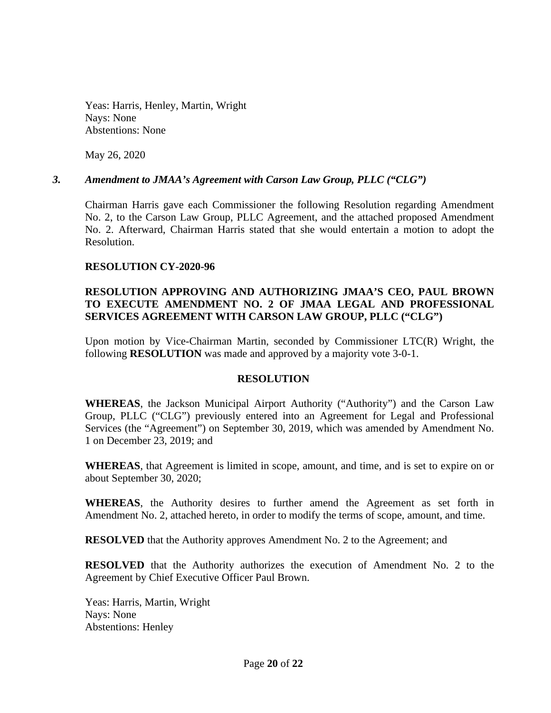Yeas: Harris, Henley, Martin, Wright Nays: None Abstentions: None

May 26, 2020

#### *3. Amendment to JMAA's Agreement with Carson Law Group, PLLC ("CLG")*

Chairman Harris gave each Commissioner the following Resolution regarding Amendment No. 2, to the Carson Law Group, PLLC Agreement, and the attached proposed Amendment No. 2. Afterward, Chairman Harris stated that she would entertain a motion to adopt the Resolution.

#### **RESOLUTION CY-2020-96**

## **RESOLUTION APPROVING AND AUTHORIZING JMAA'S CEO, PAUL BROWN TO EXECUTE AMENDMENT NO. 2 OF JMAA LEGAL AND PROFESSIONAL SERVICES AGREEMENT WITH CARSON LAW GROUP, PLLC ("CLG")**

Upon motion by Vice-Chairman Martin, seconded by Commissioner LTC(R) Wright, the following **RESOLUTION** was made and approved by a majority vote 3-0-1.

#### **RESOLUTION**

**WHEREAS**, the Jackson Municipal Airport Authority ("Authority") and the Carson Law Group, PLLC ("CLG") previously entered into an Agreement for Legal and Professional Services (the "Agreement") on September 30, 2019, which was amended by Amendment No. 1 on December 23, 2019; and

**WHEREAS**, that Agreement is limited in scope, amount, and time, and is set to expire on or about September 30, 2020;

**WHEREAS**, the Authority desires to further amend the Agreement as set forth in Amendment No. 2, attached hereto, in order to modify the terms of scope, amount, and time.

**RESOLVED** that the Authority approves Amendment No. 2 to the Agreement; and

**RESOLVED** that the Authority authorizes the execution of Amendment No. 2 to the Agreement by Chief Executive Officer Paul Brown.

Yeas: Harris, Martin, Wright Nays: None Abstentions: Henley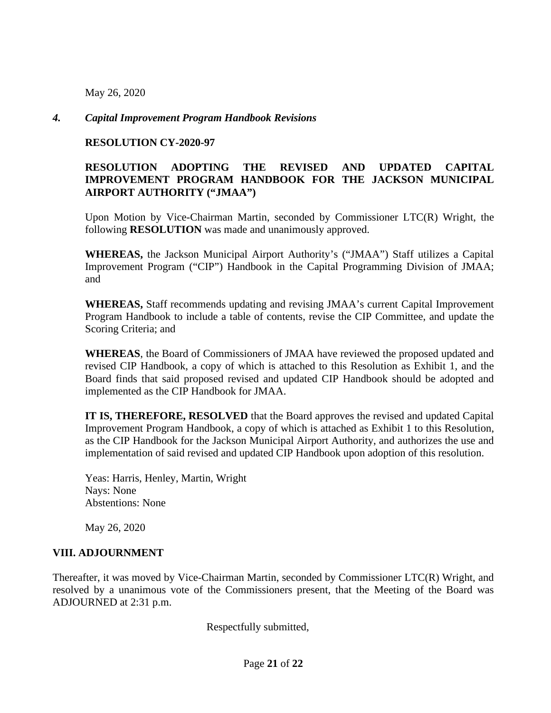May 26, 2020

#### *4. Capital Improvement Program Handbook Revisions*

#### **RESOLUTION CY-2020-97**

## **RESOLUTION ADOPTING THE REVISED AND UPDATED CAPITAL IMPROVEMENT PROGRAM HANDBOOK FOR THE JACKSON MUNICIPAL AIRPORT AUTHORITY ("JMAA")**

Upon Motion by Vice-Chairman Martin, seconded by Commissioner LTC(R) Wright, the following **RESOLUTION** was made and unanimously approved.

**WHEREAS,** the Jackson Municipal Airport Authority's ("JMAA") Staff utilizes a Capital Improvement Program ("CIP") Handbook in the Capital Programming Division of JMAA; and

**WHEREAS,** Staff recommends updating and revising JMAA's current Capital Improvement Program Handbook to include a table of contents, revise the CIP Committee, and update the Scoring Criteria; and

**WHEREAS**, the Board of Commissioners of JMAA have reviewed the proposed updated and revised CIP Handbook, a copy of which is attached to this Resolution as Exhibit 1, and the Board finds that said proposed revised and updated CIP Handbook should be adopted and implemented as the CIP Handbook for JMAA.

**IT IS, THEREFORE, RESOLVED** that the Board approves the revised and updated Capital Improvement Program Handbook, a copy of which is attached as Exhibit 1 to this Resolution, as the CIP Handbook for the Jackson Municipal Airport Authority, and authorizes the use and implementation of said revised and updated CIP Handbook upon adoption of this resolution.

Yeas: Harris, Henley, Martin, Wright Nays: None Abstentions: None

May 26, 2020

#### **VIII. ADJOURNMENT**

Thereafter, it was moved by Vice-Chairman Martin, seconded by Commissioner LTC(R) Wright, and resolved by a unanimous vote of the Commissioners present, that the Meeting of the Board was ADJOURNED at 2:31 p.m.

Respectfully submitted,